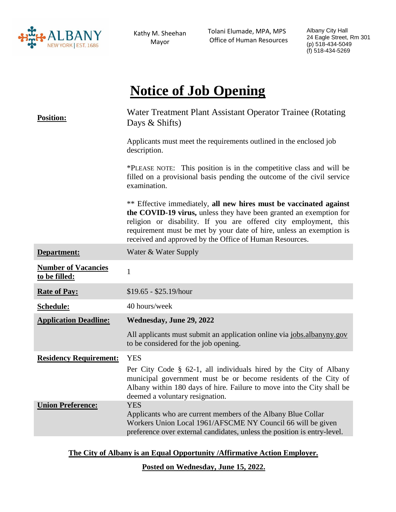

Kathy M. Sheehan Mayor

 Tolani Elumade, MPA, MPS Office of Human Resources Albany City Hall 24 Eagle Street, Rm 301 (p) 518-434-5049 (f) 518-434-5269

# **Notice of Job Opening**

| <b>Position:</b>                            | Water Treatment Plant Assistant Operator Trainee (Rotating<br>Days & Shifts)                                                                                                                                                                                                                                                                    |
|---------------------------------------------|-------------------------------------------------------------------------------------------------------------------------------------------------------------------------------------------------------------------------------------------------------------------------------------------------------------------------------------------------|
|                                             | Applicants must meet the requirements outlined in the enclosed job<br>description.                                                                                                                                                                                                                                                              |
|                                             | *PLEASE NOTE: This position is in the competitive class and will be<br>filled on a provisional basis pending the outcome of the civil service<br>examination.                                                                                                                                                                                   |
|                                             | ** Effective immediately, all new hires must be vaccinated against<br>the COVID-19 virus, unless they have been granted an exemption for<br>religion or disability. If you are offered city employment, this<br>requirement must be met by your date of hire, unless an exemption is<br>received and approved by the Office of Human Resources. |
| Department:                                 | Water & Water Supply                                                                                                                                                                                                                                                                                                                            |
| <b>Number of Vacancies</b><br>to be filled: | $\mathbf{1}$                                                                                                                                                                                                                                                                                                                                    |
| <b>Rate of Pay:</b>                         | $$19.65 - $25.19/hour$                                                                                                                                                                                                                                                                                                                          |
| Schedule:                                   | 40 hours/week                                                                                                                                                                                                                                                                                                                                   |
| <b>Application Deadline:</b>                | Wednesday, June 29, 2022                                                                                                                                                                                                                                                                                                                        |
|                                             | All applicants must submit an application online via jobs.albanyny.gov<br>to be considered for the job opening.                                                                                                                                                                                                                                 |
| <b>Residency Requirement:</b>               | <b>YES</b>                                                                                                                                                                                                                                                                                                                                      |
|                                             | Per City Code § 62-1, all individuals hired by the City of Albany<br>municipal government must be or become residents of the City of<br>Albany within 180 days of hire. Failure to move into the City shall be<br>deemed a voluntary resignation.                                                                                               |
| <b>Union Preference:</b>                    | <b>YES</b><br>Applicants who are current members of the Albany Blue Collar<br>Workers Union Local 1961/AFSCME NY Council 66 will be given<br>preference over external candidates, unless the position is entry-level.                                                                                                                           |

**The City of Albany is an Equal Opportunity /Affirmative Action Employer.**

**Posted on Wednesday, June 15, 2022.**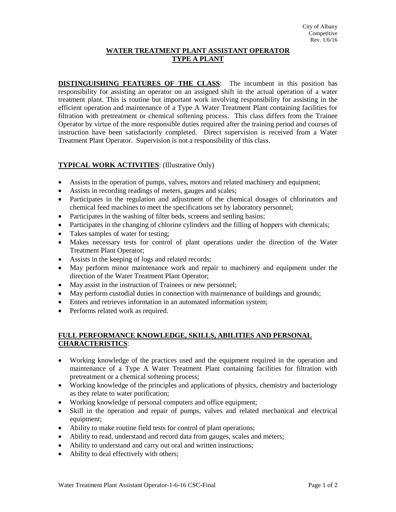## **WATER TREATMENT PLANT ASSISTANT OPERATOR TYPE A PLANT**

**DISTINGUISHING FEATURES OF THE CLASS**: The incumbent in this position has responsibility for assisting an operator on an assigned shift in the actual operation of a water treatment plant. This is routine but important work involving responsibility for assisting in the efficient operation and maintenance of a Type A Water Treatment Plant containing facilities for filtration with pretreatment or chemical softening process. This class differs from the Trainee Operator by virtue of the more responsible duties required after the training period and courses of instruction have been satisfactorily completed. Direct supervision is received from a Water Treatment Plant Operator. Supervision is not a responsibility of this class.

## **TYPICAL WORK ACTIVITIES**: (Illustrative Only)

- Assists in the operation of pumps, valves, motors and related machinery and equipment;
- Assists in recording readings of meters, gauges and scales;
- Participates in the regulation and adjustment of the chemical dosages of chlorinators and chemical feed machines to meet the specifications set by laboratory personnel;
- Participates in the washing of filter beds, screens and settling basins;
- Participates in the changing of chlorine cylinders and the filling of hoppers with chemicals;
- Takes samples of water for testing;
- Makes necessary tests for control of plant operations under the direction of the Water Treatment Plant Operator;
- Assists in the keeping of logs and related records;
- May perform minor maintenance work and repair to machinery and equipment under the direction of the Water Treatment Plant Operator;
- May assist in the instruction of Trainees or new personnel;
- May perform custodial duties in connection with maintenance of buildings and grounds;
- Enters and retrieves information in an automated information system;
- Performs related work as required.

## **FULL PERFORMANCE KNOWLEDGE, SKILLS, ABILITIES AND PERSONAL CHARACTERISTICS**:

- Working knowledge of the practices used and the equipment required in the operation and maintenance of a Type A Water Treatment Plant containing facilities for filtration with pretreatment or a chemical softening process;
- Working knowledge of the principles and applications of physics, chemistry and bacteriology as they relate to water purification;
- Working knowledge of personal computers and office equipment;
- Skill in the operation and repair of pumps, valves and related mechanical and electrical equipment;
- Ability to make routine field tests for control of plant operations;
- Ability to read, understand and record data from gauges, scales and meters;
- Ability to understand and carry out oral and written instructions;
- Ability to deal effectively with others;